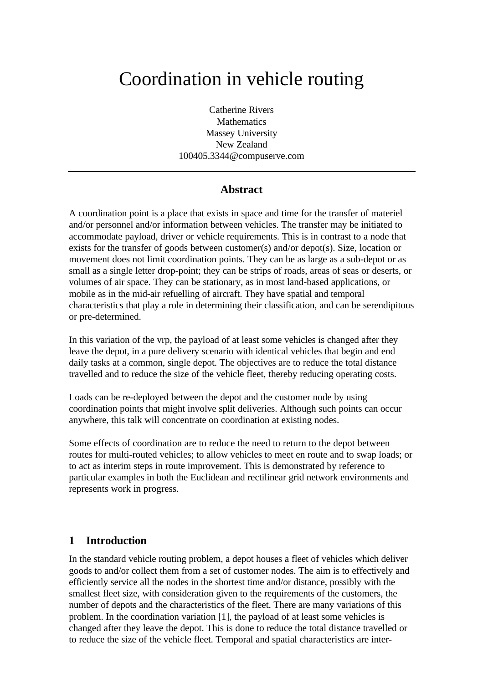# Coordination in vehicle routing

Catherine Rivers **Mathematics** Massey University New Zealand 100405.3344@compuserve.com

## **Abstract**

A coordination point is a place that exists in space and time for the transfer of materiel and/or personnel and/or information between vehicles. The transfer may be initiated to accommodate payload, driver or vehicle requirements. This is in contrast to a node that exists for the transfer of goods between customer(s) and/or depot(s). Size, location or movement does not limit coordination points. They can be as large as a sub-depot or as small as a single letter drop-point; they can be strips of roads, areas of seas or deserts, or volumes of air space. They can be stationary, as in most land-based applications, or mobile as in the mid-air refuelling of aircraft. They have spatial and temporal characteristics that play a role in determining their classification, and can be serendipitous or pre-determined.

In this variation of the vrp, the payload of at least some vehicles is changed after they leave the depot, in a pure delivery scenario with identical vehicles that begin and end daily tasks at a common, single depot. The objectives are to reduce the total distance travelled and to reduce the size of the vehicle fleet, thereby reducing operating costs.

Loads can be re-deployed between the depot and the customer node by using coordination points that might involve split deliveries. Although such points can occur anywhere, this talk will concentrate on coordination at existing nodes.

Some effects of coordination are to reduce the need to return to the depot between routes for multi-routed vehicles; to allow vehicles to meet en route and to swap loads; or to act as interim steps in route improvement. This is demonstrated by reference to particular examples in both the Euclidean and rectilinear grid network environments and represents work in progress.

## **1 Introduction**

In the standard vehicle routing problem, a depot houses a fleet of vehicles which deliver goods to and/or collect them from a set of customer nodes. The aim is to effectively and efficiently service all the nodes in the shortest time and/or distance, possibly with the smallest fleet size, with consideration given to the requirements of the customers, the number of depots and the characteristics of the fleet. There are many variations of this problem. In the coordination variation [1], the payload of at least some vehicles is changed after they leave the depot. This is done to reduce the total distance travelled or to reduce the size of the vehicle fleet. Temporal and spatial characteristics are inter-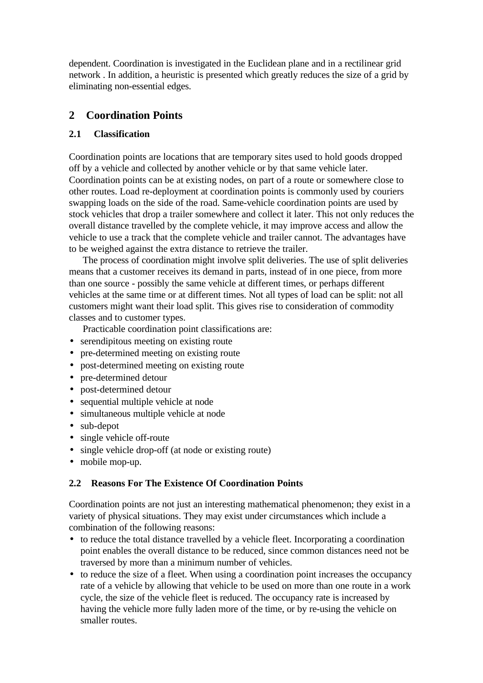dependent. Coordination is investigated in the Euclidean plane and in a rectilinear grid network . In addition, a heuristic is presented which greatly reduces the size of a grid by eliminating non-essential edges.

# **2 Coordination Points**

## **2.1 Classification**

Coordination points are locations that are temporary sites used to hold goods dropped off by a vehicle and collected by another vehicle or by that same vehicle later. Coordination points can be at existing nodes, on part of a route or somewhere close to other routes. Load re-deployment at coordination points is commonly used by couriers swapping loads on the side of the road. Same-vehicle coordination points are used by stock vehicles that drop a trailer somewhere and collect it later. This not only reduces the overall distance travelled by the complete vehicle, it may improve access and allow the vehicle to use a track that the complete vehicle and trailer cannot. The advantages have to be weighed against the extra distance to retrieve the trailer.

The process of coordination might involve split deliveries. The use of split deliveries means that a customer receives its demand in parts, instead of in one piece, from more than one source - possibly the same vehicle at different times, or perhaps different vehicles at the same time or at different times. Not all types of load can be split: not all customers might want their load split. This gives rise to consideration of commodity classes and to customer types.

Practicable coordination point classifications are:

- serendipitous meeting on existing route
- pre-determined meeting on existing route
- post-determined meeting on existing route
- pre-determined detour
- post-determined detour
- sequential multiple vehicle at node
- simultaneous multiple vehicle at node
- sub-depot
- single vehicle off-route
- single vehicle drop-off (at node or existing route)
- mobile mop-up.

## **2.2 Reasons For The Existence Of Coordination Points**

Coordination points are not just an interesting mathematical phenomenon; they exist in a variety of physical situations. They may exist under circumstances which include a combination of the following reasons:

- to reduce the total distance travelled by a vehicle fleet. Incorporating a coordination point enables the overall distance to be reduced, since common distances need not be traversed by more than a minimum number of vehicles.
- to reduce the size of a fleet. When using a coordination point increases the occupancy rate of a vehicle by allowing that vehicle to be used on more than one route in a work cycle, the size of the vehicle fleet is reduced. The occupancy rate is increased by having the vehicle more fully laden more of the time, or by re-using the vehicle on smaller routes.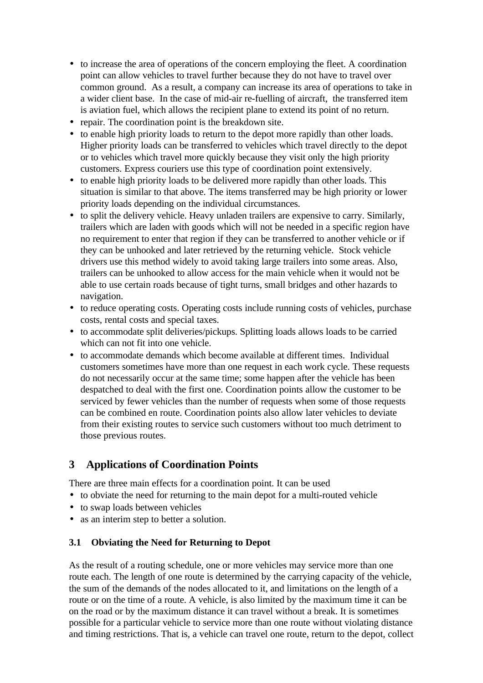- to increase the area of operations of the concern employing the fleet. A coordination point can allow vehicles to travel further because they do not have to travel over common ground. As a result, a company can increase its area of operations to take in a wider client base. In the case of mid-air re-fuelling of aircraft, the transferred item is aviation fuel, which allows the recipient plane to extend its point of no return.
- repair. The coordination point is the breakdown site.
- to enable high priority loads to return to the depot more rapidly than other loads. Higher priority loads can be transferred to vehicles which travel directly to the depot or to vehicles which travel more quickly because they visit only the high priority customers. Express couriers use this type of coordination point extensively.
- to enable high priority loads to be delivered more rapidly than other loads. This situation is similar to that above. The items transferred may be high priority or lower priority loads depending on the individual circumstances.
- to split the delivery vehicle. Heavy unladen trailers are expensive to carry. Similarly, trailers which are laden with goods which will not be needed in a specific region have no requirement to enter that region if they can be transferred to another vehicle or if they can be unhooked and later retrieved by the returning vehicle. Stock vehicle drivers use this method widely to avoid taking large trailers into some areas. Also, trailers can be unhooked to allow access for the main vehicle when it would not be able to use certain roads because of tight turns, small bridges and other hazards to navigation.
- to reduce operating costs. Operating costs include running costs of vehicles, purchase costs, rental costs and special taxes.
- to accommodate split deliveries/pickups. Splitting loads allows loads to be carried which can not fit into one vehicle.
- to accommodate demands which become available at different times. Individual customers sometimes have more than one request in each work cycle. These requests do not necessarily occur at the same time; some happen after the vehicle has been despatched to deal with the first one. Coordination points allow the customer to be serviced by fewer vehicles than the number of requests when some of those requests can be combined en route. Coordination points also allow later vehicles to deviate from their existing routes to service such customers without too much detriment to those previous routes.

# **3 Applications of Coordination Points**

There are three main effects for a coordination point. It can be used

- to obviate the need for returning to the main depot for a multi-routed vehicle
- to swap loads between vehicles
- as an interim step to better a solution.

## **3.1 Obviating the Need for Returning to Depot**

As the result of a routing schedule, one or more vehicles may service more than one route each. The length of one route is determined by the carrying capacity of the vehicle, the sum of the demands of the nodes allocated to it, and limitations on the length of a route or on the time of a route. A vehicle, is also limited by the maximum time it can be on the road or by the maximum distance it can travel without a break. It is sometimes possible for a particular vehicle to service more than one route without violating distance and timing restrictions. That is, a vehicle can travel one route, return to the depot, collect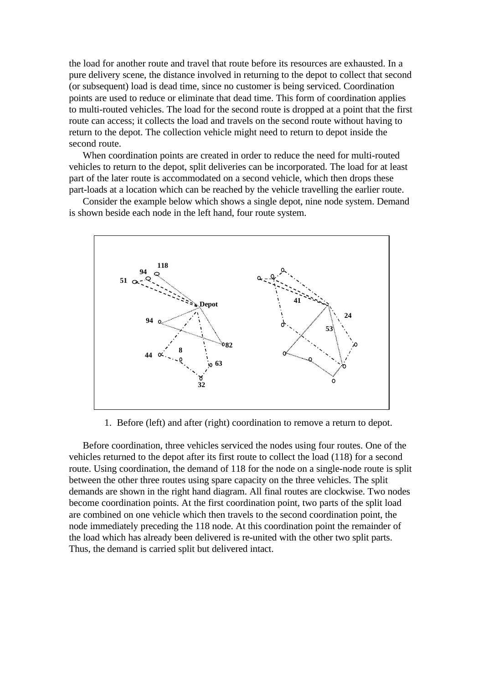the load for another route and travel that route before its resources are exhausted. In a pure delivery scene, the distance involved in returning to the depot to collect that second (or subsequent) load is dead time, since no customer is being serviced. Coordination points are used to reduce or eliminate that dead time. This form of coordination applies to multi-routed vehicles. The load for the second route is dropped at a point that the first route can access; it collects the load and travels on the second route without having to return to the depot. The collection vehicle might need to return to depot inside the second route.

When coordination points are created in order to reduce the need for multi-routed vehicles to return to the depot, split deliveries can be incorporated. The load for at least part of the later route is accommodated on a second vehicle, which then drops these part-loads at a location which can be reached by the vehicle travelling the earlier route.

Consider the example below which shows a single depot, nine node system. Demand is shown beside each node in the left hand, four route system.



1. Before (left) and after (right) coordination to remove a return to depot.

Before coordination, three vehicles serviced the nodes using four routes. One of the vehicles returned to the depot after its first route to collect the load (118) for a second route. Using coordination, the demand of 118 for the node on a single-node route is split between the other three routes using spare capacity on the three vehicles. The split demands are shown in the right hand diagram. All final routes are clockwise. Two nodes become coordination points. At the first coordination point, two parts of the split load are combined on one vehicle which then travels to the second coordination point, the node immediately preceding the 118 node. At this coordination point the remainder of the load which has already been delivered is re-united with the other two split parts. Thus, the demand is carried split but delivered intact.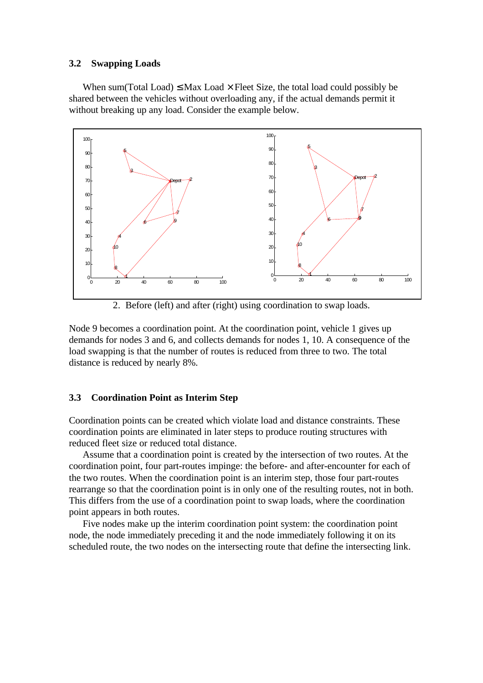#### **3.2 Swapping Loads**

When sum(Total Load)  $\leq$  Max Load  $\times$  Fleet Size, the total load could possibly be shared between the vehicles without overloading any, if the actual demands permit it without breaking up any load. Consider the example below.



2. Before (left) and after (right) using coordination to swap loads.

Node 9 becomes a coordination point. At the coordination point, vehicle 1 gives up demands for nodes 3 and 6, and collects demands for nodes 1, 10. A consequence of the load swapping is that the number of routes is reduced from three to two. The total distance is reduced by nearly 8%.

## **3.3 Coordination Point as Interim Step**

Coordination points can be created which violate load and distance constraints. These coordination points are eliminated in later steps to produce routing structures with reduced fleet size or reduced total distance.

Assume that a coordination point is created by the intersection of two routes. At the coordination point, four part-routes impinge: the before- and after-encounter for each of the two routes. When the coordination point is an interim step, those four part-routes rearrange so that the coordination point is in only one of the resulting routes, not in both. This differs from the use of a coordination point to swap loads, where the coordination point appears in both routes.

Five nodes make up the interim coordination point system: the coordination point node, the node immediately preceding it and the node immediately following it on its scheduled route, the two nodes on the intersecting route that define the intersecting link.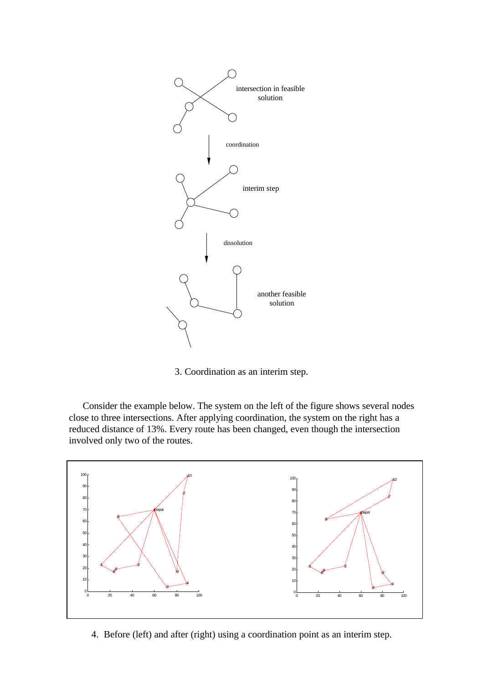

3. Coordination as an interim step.

Consider the example below. The system on the left of the figure shows several nodes close to three intersections. After applying coordination, the system on the right has a reduced distance of 13%. Every route has been changed, even though the intersection involved only two of the routes.



4. Before (left) and after (right) using a coordination point as an interim step.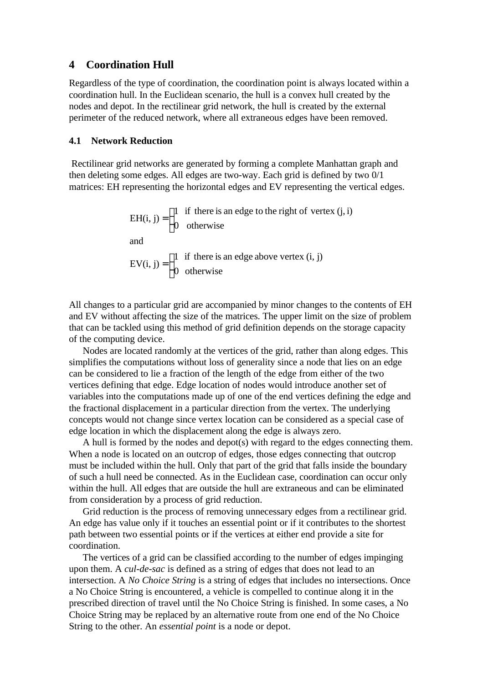## **4 Coordination Hull**

Regardless of the type of coordination, the coordination point is always located within a coordination hull. In the Euclidean scenario, the hull is a convex hull created by the nodes and depot. In the rectilinear grid network, the hull is created by the external perimeter of the reduced network, where all extraneous edges have been removed.

#### **4.1 Network Reduction**

 Rectilinear grid networks are generated by forming a complete Manhattan graph and then deleting some edges. All edges are two-way. Each grid is defined by two 0/1 matrices: EH representing the horizontal edges and EV representing the vertical edges.

EH(i, j) = 
$$
\begin{cases} 1 & \text{if there is an edge to the right of vertex (j, i)} \\ 0 & \text{otherwise} \end{cases}
$$
and  
EV(i, j) = 
$$
\begin{cases} 1 & \text{if there is an edge above vertex (i, j)} \\ 0 & \text{otherwise} \end{cases}
$$

All changes to a particular grid are accompanied by minor changes to the contents of EH and EV without affecting the size of the matrices. The upper limit on the size of problem that can be tackled using this method of grid definition depends on the storage capacity of the computing device.

Nodes are located randomly at the vertices of the grid, rather than along edges. This simplifies the computations without loss of generality since a node that lies on an edge can be considered to lie a fraction of the length of the edge from either of the two vertices defining that edge. Edge location of nodes would introduce another set of variables into the computations made up of one of the end vertices defining the edge and the fractional displacement in a particular direction from the vertex. The underlying concepts would not change since vertex location can be considered as a special case of edge location in which the displacement along the edge is always zero.

A hull is formed by the nodes and depot(s) with regard to the edges connecting them. When a node is located on an outcrop of edges, those edges connecting that outcrop must be included within the hull. Only that part of the grid that falls inside the boundary of such a hull need be connected. As in the Euclidean case, coordination can occur only within the hull. All edges that are outside the hull are extraneous and can be eliminated from consideration by a process of grid reduction.

Grid reduction is the process of removing unnecessary edges from a rectilinear grid. An edge has value only if it touches an essential point or if it contributes to the shortest path between two essential points or if the vertices at either end provide a site for coordination.

The vertices of a grid can be classified according to the number of edges impinging upon them. A *cul-de-sac* is defined as a string of edges that does not lead to an intersection. A *No Choice String* is a string of edges that includes no intersections. Once a No Choice String is encountered, a vehicle is compelled to continue along it in the prescribed direction of travel until the No Choice String is finished. In some cases, a No Choice String may be replaced by an alternative route from one end of the No Choice String to the other. An *essential point* is a node or depot.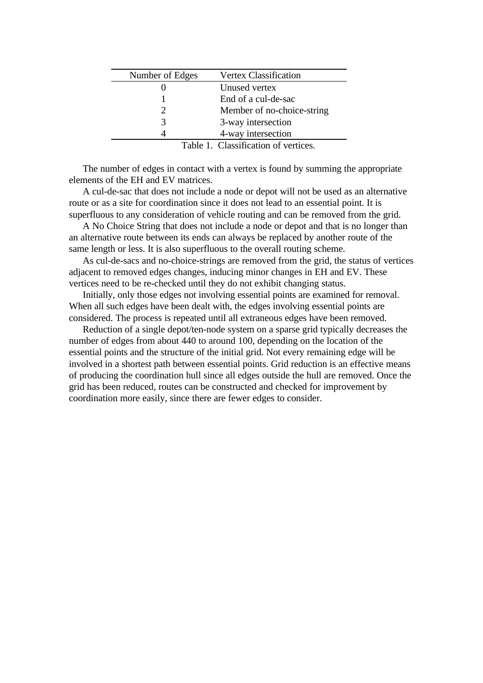| Number of Edges | <b>Vertex Classification</b> |
|-----------------|------------------------------|
|                 | Unused vertex                |
|                 | End of a cul-de-sac          |
|                 | Member of no-choice-string   |
|                 | 3-way intersection           |
|                 | 4-way intersection           |
|                 |                              |

Table 1. Classification of vertices.

The number of edges in contact with a vertex is found by summing the appropriate elements of the EH and EV matrices.

A cul-de-sac that does not include a node or depot will not be used as an alternative route or as a site for coordination since it does not lead to an essential point. It is superfluous to any consideration of vehicle routing and can be removed from the grid.

A No Choice String that does not include a node or depot and that is no longer than an alternative route between its ends can always be replaced by another route of the same length or less. It is also superfluous to the overall routing scheme.

As cul-de-sacs and no-choice-strings are removed from the grid, the status of vertices adjacent to removed edges changes, inducing minor changes in EH and EV. These vertices need to be re-checked until they do not exhibit changing status.

Initially, only those edges not involving essential points are examined for removal. When all such edges have been dealt with, the edges involving essential points are considered. The process is repeated until all extraneous edges have been removed.

Reduction of a single depot/ten-node system on a sparse grid typically decreases the number of edges from about 440 to around 100, depending on the location of the essential points and the structure of the initial grid. Not every remaining edge will be involved in a shortest path between essential points. Grid reduction is an effective means of producing the coordination hull since all edges outside the hull are removed. Once the grid has been reduced, routes can be constructed and checked for improvement by coordination more easily, since there are fewer edges to consider.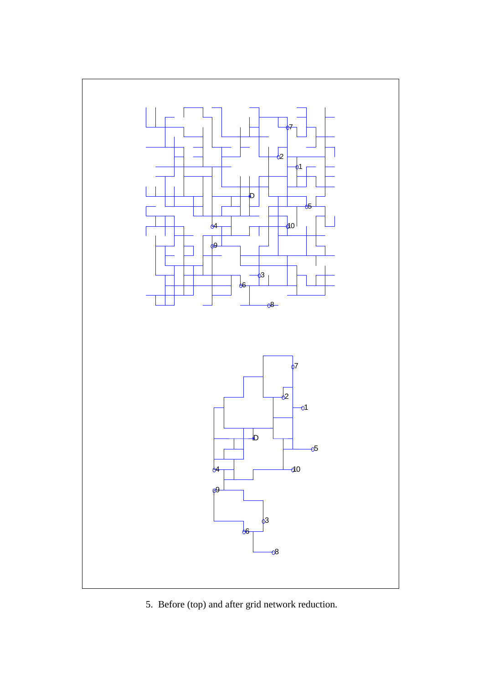

5. Before (top) and after grid network reduction.